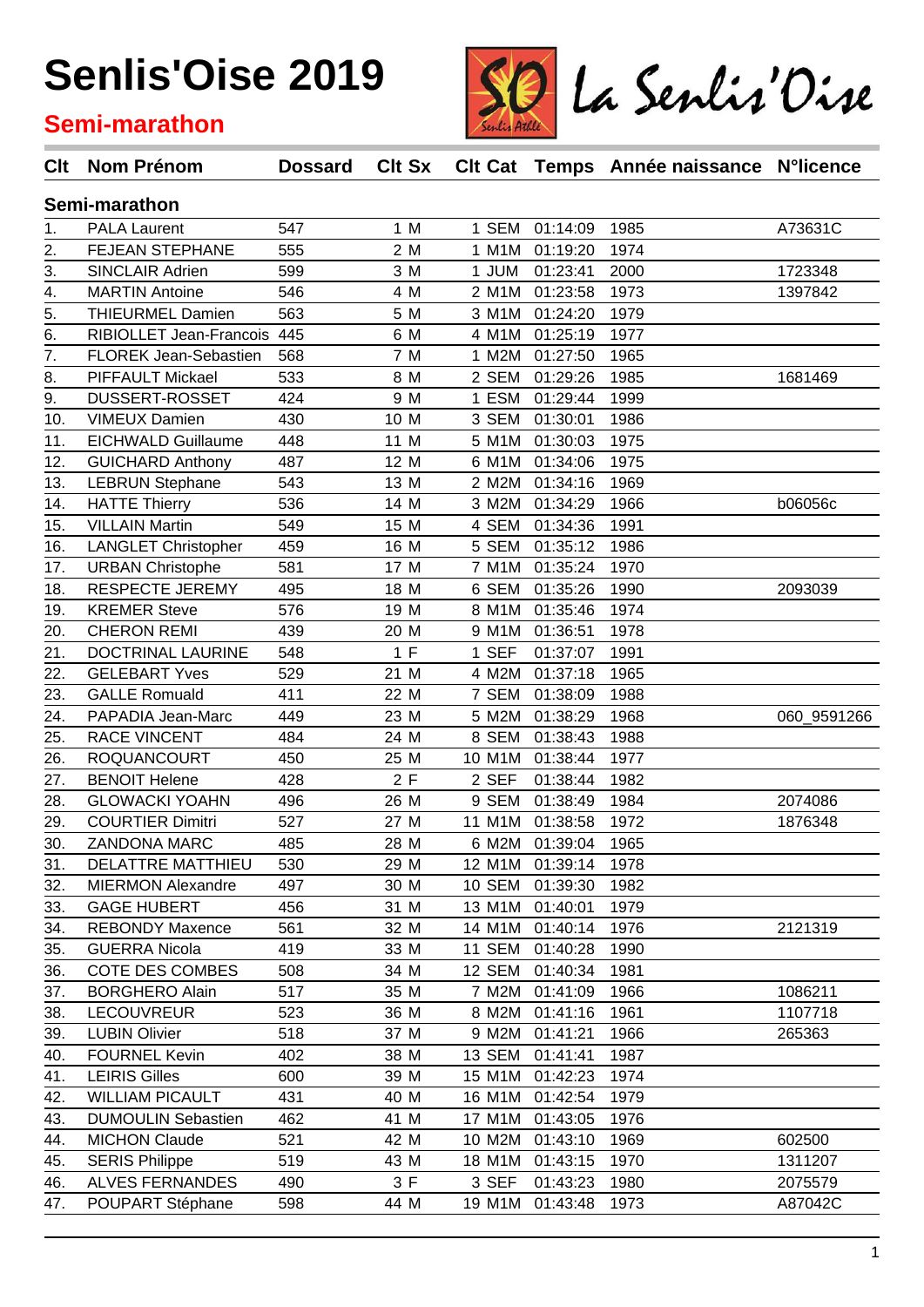#### **Semi-marathon**



| Clt            | Nom Prénom                   | <b>Dossard</b> | Clt Sx |               |                 | CIt Cat Temps Année naissance N°licence |             |
|----------------|------------------------------|----------------|--------|---------------|-----------------|-----------------------------------------|-------------|
| Semi-marathon  |                              |                |        |               |                 |                                         |             |
| 1.             | <b>PALA Laurent</b>          | 547            | 1 M    | 1 SEM         | 01:14:09        | 1985                                    | A73631C     |
| 2.             | <b>FEJEAN STEPHANE</b>       | 555            | 2 M    | 1 M1M         | 01:19:20        | 1974                                    |             |
| 3.             | <b>SINCLAIR Adrien</b>       | 599            | 3 M    | 1 JUM         | 01:23:41        | 2000                                    | 1723348     |
| 4.             | <b>MARTIN Antoine</b>        | 546            | 4 M    | 2 M1M         | 01:23:58        | 1973                                    | 1397842     |
| 5.             | <b>THIEURMEL Damien</b>      | 563            | 5 M    | 3 M1M         | 01:24:20        | 1979                                    |             |
| 6.             | RIBIOLLET Jean-Francois      | 445            | 6 M    | 4 M1M         | 01:25:19        | 1977                                    |             |
| 7.             | <b>FLOREK Jean-Sebastien</b> | 568            | 7 M    | 1 M2M         | 01:27:50        | 1965                                    |             |
| 8.             | <b>PIFFAULT Mickael</b>      | 533            | 8 M    | 2 SEM         | 01:29:26        | 1985                                    | 1681469     |
| 9.             | DUSSERT-ROSSET               | 424            | 9 M    | 1 ESM         | 01:29:44        | 1999                                    |             |
| 10.            | <b>VIMEUX Damien</b>         | 430            | 10 M   | 3 SEM         | 01:30:01        | 1986                                    |             |
| 11.            | <b>EICHWALD Guillaume</b>    | 448            | 11 M   | 5 M1M         | 01:30:03        | 1975                                    |             |
| 12.            | <b>GUICHARD Anthony</b>      | 487            | 12 M   | 6 M1M         | 01:34:06        | 1975                                    |             |
| 13.            | <b>LEBRUN Stephane</b>       | 543            | 13 M   | 2 M2M         | 01:34:16        | 1969                                    |             |
| 14.            | <b>HATTE Thierry</b>         | 536            | 14 M   | 3 M2M         | 01:34:29        | 1966                                    | b06056c     |
| 15.            | <b>VILLAIN Martin</b>        | 549            | 15 M   | 4 SEM         | 01:34:36        | 1991                                    |             |
| 16.            | <b>LANGLET Christopher</b>   | 459            | 16 M   | 5 SEM         | 01:35:12        | 1986                                    |             |
| 17.            | <b>URBAN Christophe</b>      | 581            | 17 M   | 7 M1M         | 01:35:24        | 1970                                    |             |
| 18.            | RESPECTE JEREMY              | 495            | 18 M   | 6 SEM         | 01:35:26        | 1990                                    | 2093039     |
| 19.            | <b>KREMER Steve</b>          | 576            | 19 M   | 8 M1M         | 01:35:46        | 1974                                    |             |
| 20.            | <b>CHERON REMI</b>           | 439            | 20 M   | 9 M1M         | 01:36:51        | 1978                                    |             |
| 21.            | DOCTRINAL LAURINE            | 548            | 1 F    | 1 SEF         | 01:37:07        | 1991                                    |             |
| 22.            | <b>GELEBART Yves</b>         | 529            | 21 M   | 4 M2M         | 01:37:18        | 1965                                    |             |
| 23.            | <b>GALLE Romuald</b>         | 411            | 22 M   | 7 SEM         | 01:38:09        | 1988                                    |             |
| 24.            | PAPADIA Jean-Marc            | 449            | 23 M   | 5 M2M         | 01:38:29        | 1968                                    | 060_9591266 |
| 25.            | <b>RACE VINCENT</b>          | 484            | 24 M   | 8 SEM         | 01:38:43        | 1988                                    |             |
| 26.            | <b>ROQUANCOURT</b>           | 450            | 25 M   | 10 M1M        | 01:38:44        | 1977                                    |             |
| 27.            | <b>BENOIT Helene</b>         | 428            | 2F     | 2 SEF         | 01:38:44        | 1982                                    |             |
| 28.            | <b>GLOWACKI YOAHN</b>        | 496            | 26 M   | 9 SEM         | 01:38:49        | 1984                                    | 2074086     |
| 29.            | <b>COURTIER Dimitri</b>      | 527            | 27 M   | 11 M1M        | 01:38:58        | 1972                                    | 1876348     |
| $\frac{30}{5}$ | ZANDONA MARC                 | 485            | 28 M   |               | 6 M2M 01:39:04  | 1965                                    |             |
| 31.            | DELATTRE MATTHIEU            | 530            | 29 M   |               | 12 M1M 01:39:14 | 1978                                    |             |
| 32.            | <b>MIERMON Alexandre</b>     | 497            | 30 M   | 10 SEM        | 01:39:30        | 1982                                    |             |
| 33.            | <b>GAGE HUBERT</b>           | 456            | 31 M   | 13 M1M        | 01:40:01        | 1979                                    |             |
| 34.            | <b>REBONDY Maxence</b>       | 561            | 32 M   | 14 M1M        | 01:40:14        | 1976                                    | 2121319     |
| 35.            | <b>GUERRA Nicola</b>         | 419            | 33 M   | 11 SEM        | 01:40:28        | 1990                                    |             |
| 36.            | COTE DES COMBES              | 508            | 34 M   | 12 SEM        | 01:40:34        | 1981                                    |             |
| 37.            | <b>BORGHERO Alain</b>        | 517            | 35 M   | 7 M2M         | 01:41:09        | 1966                                    | 1086211     |
| 38.            | <b>LECOUVREUR</b>            | 523            | 36 M   | 8 M2M         | 01:41:16        | 1961                                    | 1107718     |
| 39.            | <b>LUBIN Olivier</b>         | 518            | 37 M   | 9 M2M         | 01:41:21        | 1966                                    | 265363      |
| 40.            | <b>FOURNEL Kevin</b>         | 402            | 38 M   | <b>13 SEM</b> | 01:41:41        | 1987                                    |             |
| 41.            | <b>LEIRIS Gilles</b>         | 600            | 39 M   | 15 M1M        | 01:42:23        | 1974                                    |             |
| 42.            | <b>WILLIAM PICAULT</b>       | 431            | 40 M   | 16 M1M        | 01:42:54        | 1979                                    |             |
| 43.            | <b>DUMOULIN Sebastien</b>    | 462            | 41 M   | 17 M1M        | 01:43:05        | 1976                                    |             |
| 44.            | <b>MICHON Claude</b>         | 521            | 42 M   | 10 M2M        | 01:43:10        | 1969                                    | 602500      |
| 45.            | <b>SERIS Philippe</b>        | 519            | 43 M   | 18 M1M        | 01:43:15        | 1970                                    | 1311207     |
| 46.            | <b>ALVES FERNANDES</b>       | 490            | 3 F    | 3 SEF         | 01:43:23        | 1980                                    | 2075579     |
| 47.            | POUPART Stéphane             | 598            | 44 M   | 19 M1M        | 01:43:48        | 1973                                    | A87042C     |
|                |                              |                |        |               |                 |                                         |             |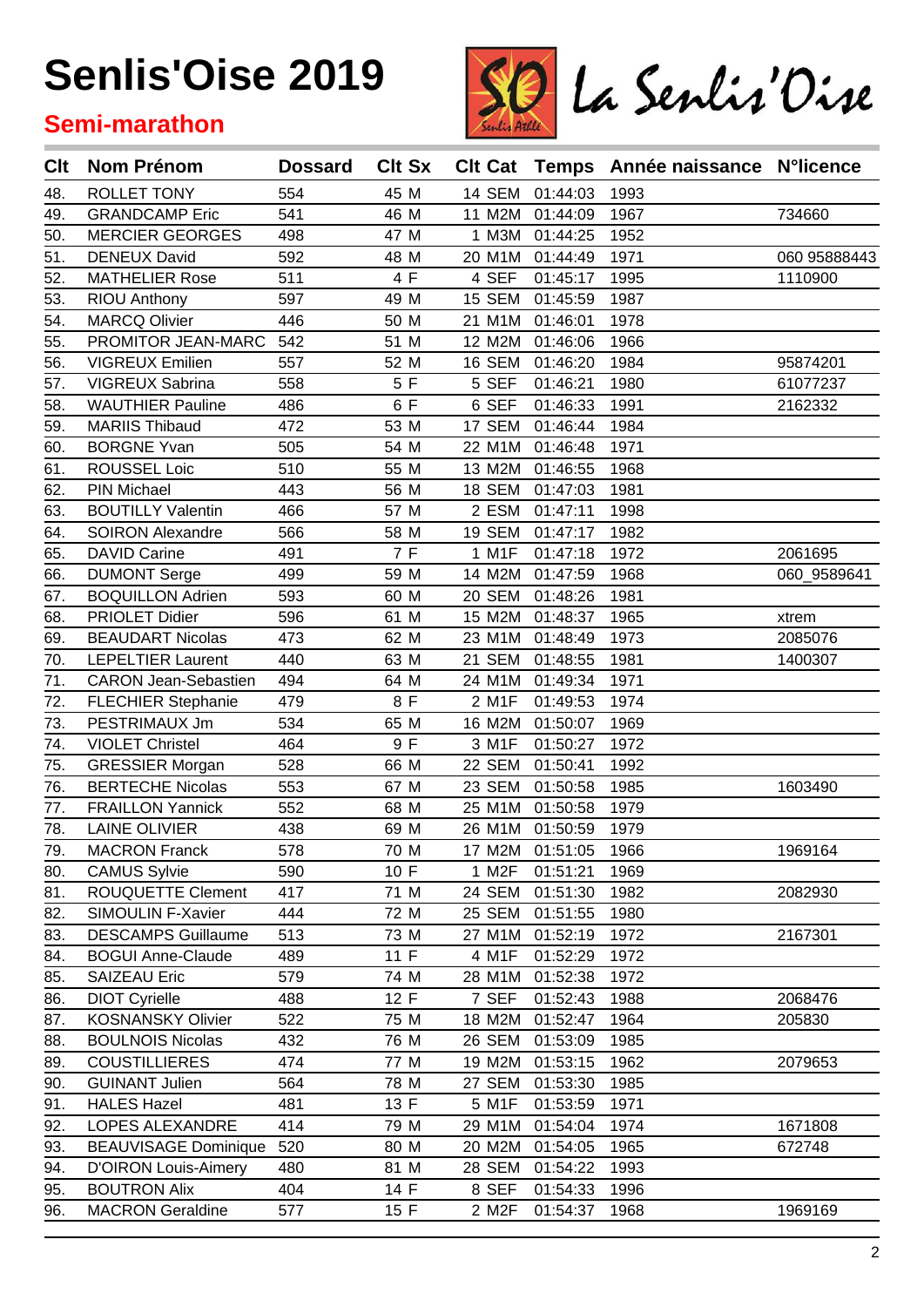### **Semi-marathon**



| Clt | <b>Nom Prénom</b>           | <b>Dossard</b> | <b>Clt Sx</b> |               |                 | Clt Cat Temps Année naissance N°licence |              |
|-----|-----------------------------|----------------|---------------|---------------|-----------------|-----------------------------------------|--------------|
| 48. | ROLLET TONY                 | 554            | 45 M          | 14 SEM        | 01:44:03        | 1993                                    |              |
| 49. | <b>GRANDCAMP Eric</b>       | 541            | 46 M          | 11 M2M        | 01:44:09        | 1967                                    | 734660       |
| 50. | <b>MERCIER GEORGES</b>      | 498            | 47 M          | 1 M3M         | 01:44:25        | 1952                                    |              |
| 51. | <b>DENEUX David</b>         | 592            | 48 M          | 20 M1M        | 01:44:49        | 1971                                    | 060 95888443 |
| 52. | <b>MATHELIER Rose</b>       | 511            | 4 F           | 4 SEF         | 01:45:17        | 1995                                    | 1110900      |
| 53. | <b>RIOU Anthony</b>         | 597            | 49 M          | 15 SEM        | 01:45:59        | 1987                                    |              |
| 54. | <b>MARCQ Olivier</b>        | 446            | 50 M          | 21 M1M        | 01:46:01        | 1978                                    |              |
| 55. | PROMITOR JEAN-MARC          | 542            | 51 M          | 12 M2M        | 01:46:06        | 1966                                    |              |
| 56. | <b>VIGREUX Emilien</b>      | 557            | 52 M          | 16 SEM        | 01:46:20        | 1984                                    | 95874201     |
| 57. | VIGREUX Sabrina             | 558            | 5 F           | 5 SEF         | 01:46:21        | 1980                                    | 61077237     |
| 58. | <b>WAUTHIER Pauline</b>     | 486            | 6 F           | 6 SEF         | 01:46:33        | 1991                                    | 2162332      |
| 59. | <b>MARIIS Thibaud</b>       | 472            | 53 M          | 17 SEM        | 01:46:44        | 1984                                    |              |
| 60. | <b>BORGNE Yvan</b>          | 505            | 54 M          | 22 M1M        | 01:46:48        | 1971                                    |              |
| 61. | ROUSSEL Loic                | 510            | 55 M          | 13 M2M        | 01:46:55        | 1968                                    |              |
| 62. | PIN Michael                 | 443            | 56 M          | 18 SEM        | 01:47:03        | 1981                                    |              |
| 63. | <b>BOUTILLY Valentin</b>    | 466            | 57 M          | 2 ESM         | 01:47:11        | 1998                                    |              |
| 64. | <b>SOIRON Alexandre</b>     | 566            | 58 M          | 19 SEM        | 01:47:17        | 1982                                    |              |
| 65. | <b>DAVID Carine</b>         | 491            | 7 F           | 1 M1F         | 01:47:18        | 1972                                    | 2061695      |
| 66. | <b>DUMONT Serge</b>         | 499            | 59 M          | 14 M2M        | 01:47:59        | 1968                                    | 060_9589641  |
| 67. | <b>BOQUILLON Adrien</b>     | 593            | 60 M          | <b>20 SEM</b> | 01:48:26        | 1981                                    |              |
| 68. | <b>PRIOLET Didier</b>       | 596            | 61 M          | 15 M2M        | 01:48:37        | 1965                                    | xtrem        |
| 69. | <b>BEAUDART Nicolas</b>     | 473            | 62 M          | 23 M1M        | 01:48:49        | 1973                                    | 2085076      |
| 70. | <b>LEPELTIER Laurent</b>    | 440            | 63 M          | 21 SEM        | 01:48:55        | 1981                                    | 1400307      |
| 71. | <b>CARON Jean-Sebastien</b> | 494            | 64 M          | 24 M1M        | 01:49:34        | 1971                                    |              |
| 72. | <b>FLECHIER Stephanie</b>   | 479            | 8 F           | 2 M1F         | 01:49:53        | 1974                                    |              |
| 73. | PESTRIMAUX Jm               | 534            | 65 M          | 16 M2M        | 01:50:07        | 1969                                    |              |
| 74. | <b>VIOLET Christel</b>      | 464            | 9 F           | 3 M1F         | 01:50:27        | 1972                                    |              |
| 75. | <b>GRESSIER Morgan</b>      | 528            | 66 M          | 22 SEM        | 01:50:41        | 1992                                    |              |
| 76. | <b>BERTECHE Nicolas</b>     | 553            | 67 M          | 23 SEM        | 01:50:58        | 1985                                    | 1603490      |
| 77. | <b>FRAILLON Yannick</b>     | 552            | 68 M          | 25 M1M        | 01:50:58        | 1979                                    |              |
| 78. | <b>LAINE OLIVIER</b>        | 438            | 69 M          | 26 M1M        | 01:50:59        | 1979                                    |              |
| 79. | <b>MACRON Franck</b>        | 578            | 70 M          |               | 17 M2M 01:51:05 | 1966                                    | 1969164      |
| 80. | <b>CAMUS Sylvie</b>         | 590            | 10 F          | 1 M2F         | 01:51:21        | 1969                                    |              |
| 81. | ROUQUETTE Clement           | 417            | 71 M          | 24 SEM        | 01:51:30        | 1982                                    | 2082930      |
| 82. | SIMOULIN F-Xavier           | 444            | 72 M          | 25 SEM        | 01:51:55        | 1980                                    |              |
| 83. | <b>DESCAMPS Guillaume</b>   | 513            | 73 M          | 27 M1M        | 01:52:19        | 1972                                    | 2167301      |
| 84. | <b>BOGUI Anne-Claude</b>    | 489            | 11F           | 4 M1F         | 01:52:29        | 1972                                    |              |
| 85. | <b>SAIZEAU Eric</b>         | 579            | 74 M          | 28 M1M        | 01:52:38        | 1972                                    |              |
| 86. | <b>DIOT Cyrielle</b>        | 488            | 12 F          | 7 SEF         | 01:52:43        | 1988                                    | 2068476      |
| 87. | <b>KOSNANSKY Olivier</b>    | 522            | 75 M          | 18 M2M        | 01:52:47        | 1964                                    | 205830       |
| 88. | <b>BOULNOIS Nicolas</b>     | 432            | 76 M          | 26 SEM        | 01:53:09        | 1985                                    |              |
| 89. | <b>COUSTILLIERES</b>        | 474            | 77 M          | 19 M2M        | 01:53:15        | 1962                                    | 2079653      |
| 90. | <b>GUINANT Julien</b>       | 564            | 78 M          | 27 SEM        | 01:53:30        | 1985                                    |              |
| 91. | <b>HALES Hazel</b>          | 481            | 13 F          | 5 M1F         | 01:53:59        | 1971                                    |              |
| 92. | LOPES ALEXANDRE             | 414            | 79 M          | 29 M1M        | 01:54:04        | 1974                                    | 1671808      |
| 93. | <b>BEAUVISAGE Dominique</b> | 520            | 80 M          | 20 M2M        | 01:54:05        | 1965                                    | 672748       |
| 94. | <b>D'OIRON Louis-Aimery</b> | 480            | 81 M          | <b>28 SEM</b> | 01:54:22        | 1993                                    |              |
| 95. | <b>BOUTRON Alix</b>         | 404            | 14 F          | 8 SEF         | 01:54:33        | 1996                                    |              |
| 96. | <b>MACRON Geraldine</b>     | 577            | 15 F          | 2 M2F         | 01:54:37        | 1968                                    | 1969169      |
|     |                             |                |               |               |                 |                                         |              |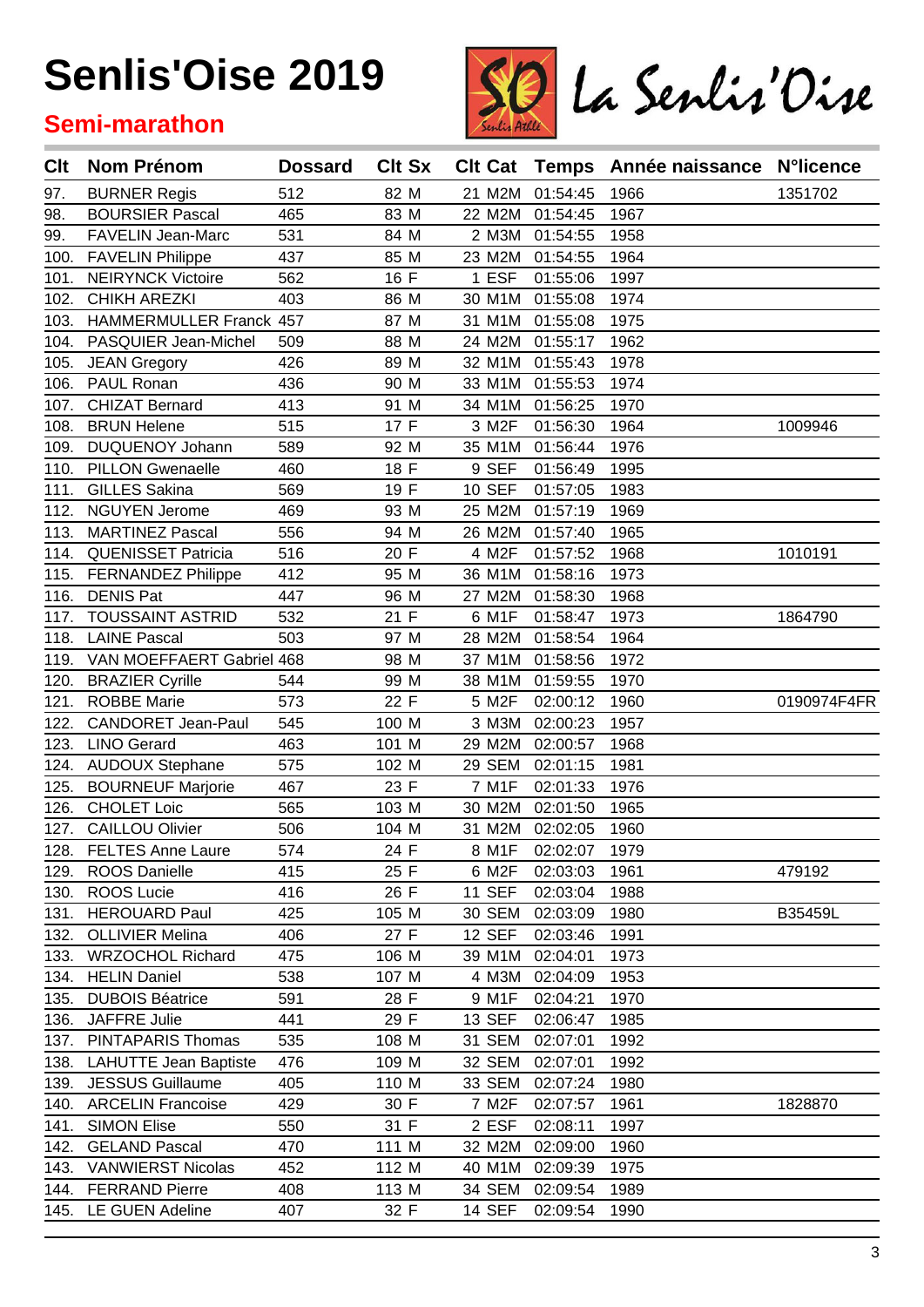### **Semi-marathon**



| Clt  | <b>Nom Prénom</b>            | <b>Dossard</b> | <b>Clt Sx</b> |               |          | CIt Cat Temps Année naissance N°licence |             |
|------|------------------------------|----------------|---------------|---------------|----------|-----------------------------------------|-------------|
| 97.  | <b>BURNER Regis</b>          | 512            | 82 M          | 21 M2M        | 01:54:45 | 1966                                    | 1351702     |
| 98.  | <b>BOURSIER Pascal</b>       | 465            | 83 M          | 22 M2M        | 01:54:45 | 1967                                    |             |
| 99.  | FAVELIN Jean-Marc            | 531            | 84 M          | 2 M3M         | 01:54:55 | 1958                                    |             |
| 100. | <b>FAVELIN Philippe</b>      | 437            | 85 M          | 23 M2M        | 01:54:55 | 1964                                    |             |
| 101. | <b>NEIRYNCK Victoire</b>     | 562            | 16 F          | 1 ESF         | 01:55:06 | 1997                                    |             |
| 102. | <b>CHIKH AREZKI</b>          | 403            | 86 M          | 30 M1M        | 01:55:08 | 1974                                    |             |
| 103. | HAMMERMULLER Franck 457      |                | 87 M          | 31 M1M        | 01:55:08 | 1975                                    |             |
| 104. | PASQUIER Jean-Michel         | 509            | 88 M          | 24 M2M        | 01:55:17 | 1962                                    |             |
| 105. | <b>JEAN Gregory</b>          | 426            | 89 M          | 32 M1M        | 01:55:43 | 1978                                    |             |
| 106. | PAUL Ronan                   | 436            | 90 M          | 33 M1M        | 01:55:53 | 1974                                    |             |
| 107. | <b>CHIZAT Bernard</b>        | 413            | 91 M          | 34 M1M        | 01:56:25 | 1970                                    |             |
| 108. | <b>BRUN Helene</b>           | 515            | 17 F          | 3 M2F         | 01:56:30 | 1964                                    | 1009946     |
| 109. | DUQUENOY Johann              | 589            | 92 M          | 35 M1M        | 01:56:44 | 1976                                    |             |
| 110. | <b>PILLON Gwenaelle</b>      | 460            | 18 F          | 9 SEF         | 01:56:49 | 1995                                    |             |
| 111. | <b>GILLES Sakina</b>         | 569            | 19 F          | <b>10 SEF</b> | 01:57:05 | 1983                                    |             |
| 112. | <b>NGUYEN Jerome</b>         | 469            | 93 M          | 25 M2M        | 01:57:19 | 1969                                    |             |
| 113. | <b>MARTINEZ Pascal</b>       | 556            | 94 M          | 26 M2M        | 01:57:40 | 1965                                    |             |
| 114. | <b>QUENISSET Patricia</b>    | 516            | 20 F          | 4 M2F         | 01:57:52 | 1968                                    | 1010191     |
| 115. | <b>FERNANDEZ Philippe</b>    | 412            | 95 M          | 36 M1M        | 01:58:16 | 1973                                    |             |
| 116. | <b>DENIS Pat</b>             | 447            | 96 M          | 27 M2M        | 01:58:30 | 1968                                    |             |
| 117. | <b>TOUSSAINT ASTRID</b>      | 532            | 21 F          | 6 M1F         | 01:58:47 | 1973                                    | 1864790     |
| 118. | <b>LAINE Pascal</b>          | 503            | 97 M          | 28 M2M        | 01:58:54 | 1964                                    |             |
| 119. | VAN MOEFFAERT Gabriel 468    |                | 98 M          | 37 M1M        | 01:58:56 | 1972                                    |             |
| 120. | <b>BRAZIER Cyrille</b>       | 544            | 99 M          | 38 M1M        | 01:59:55 | 1970                                    |             |
| 121. | <b>ROBBE Marie</b>           | 573            | 22 F          | 5 M2F         | 02:00:12 | 1960                                    | 0190974F4FR |
| 122. | <b>CANDORET Jean-Paul</b>    | 545            | 100 M         | 3 M3M         | 02:00:23 | 1957                                    |             |
| 123. | <b>LINO Gerard</b>           | 463            | 101 M         | 29 M2M        | 02:00:57 | 1968                                    |             |
| 124. | <b>AUDOUX Stephane</b>       | 575            | 102 M         | 29 SEM        | 02:01:15 | 1981                                    |             |
| 125. | <b>BOURNEUF Marjorie</b>     | 467            | 23 F          | 7 M1F         | 02:01:33 | 1976                                    |             |
| 126. | <b>CHOLET Loic</b>           | 565            | 103 M         | 30 M2M        | 02:01:50 | 1965                                    |             |
| 127. | <b>CAILLOU Olivier</b>       | 506            | 104 M         | 31 M2M        | 02:02:05 | 1960                                    |             |
|      | 128. FELTES Anne Laure       | 574            | 24 F          | 8 M1F         | 02:02:07 | 1979                                    |             |
|      | 129. ROOS Danielle           | 415            | 25 F          | 6 M2F         | 02:03:03 | 1961                                    | 479192      |
| 130. | <b>ROOS Lucie</b>            | 416            | 26 F          | <b>11 SEF</b> | 02:03:04 | 1988                                    |             |
| 131. | <b>HEROUARD Paul</b>         | 425            | 105 M         | 30 SEM        | 02:03:09 | 1980                                    | B35459L     |
| 132. | <b>OLLIVIER Melina</b>       | 406            | 27 F          | <b>12 SEF</b> | 02:03:46 | 1991                                    |             |
| 133. | <b>WRZOCHOL Richard</b>      | 475            | 106 M         | 39 M1M        | 02:04:01 | 1973                                    |             |
| 134. | <b>HELIN Daniel</b>          | 538            | 107 M         | 4 M3M         | 02:04:09 | 1953                                    |             |
| 135. | <b>DUBOIS Béatrice</b>       | 591            | 28 F          | 9 M1F         | 02:04:21 | 1970                                    |             |
| 136. | JAFFRE Julie                 | 441            | 29 F          | <b>13 SEF</b> | 02:06:47 | 1985                                    |             |
| 137. | <b>PINTAPARIS Thomas</b>     | 535            | 108 M         | 31 SEM        | 02:07:01 | 1992                                    |             |
| 138. | <b>LAHUTTE Jean Baptiste</b> | 476            | 109 M         | 32 SEM        | 02:07:01 | 1992                                    |             |
| 139. | <b>JESSUS Guillaume</b>      | 405            | 110 M         | 33 SEM        | 02:07:24 | 1980                                    |             |
| 140. | <b>ARCELIN Francoise</b>     | 429            | 30 F          | 7 M2F         | 02:07:57 | 1961                                    | 1828870     |
| 141. | <b>SIMON Elise</b>           | 550            | 31 F          | 2 ESF         | 02:08:11 | 1997                                    |             |
| 142. | <b>GELAND Pascal</b>         | 470            | 111 M         | 32 M2M        | 02:09:00 | 1960                                    |             |
| 143. | <b>VANWIERST Nicolas</b>     | 452            | 112 M         | 40 M1M        | 02:09:39 | 1975                                    |             |
| 144. | <b>FERRAND Pierre</b>        | 408            | 113 M         | 34 SEM        | 02:09:54 | 1989                                    |             |
|      | 145. LE GUEN Adeline         | 407            | 32 F          | 14 SEF        | 02:09:54 | 1990                                    |             |
|      |                              |                |               |               |          |                                         |             |